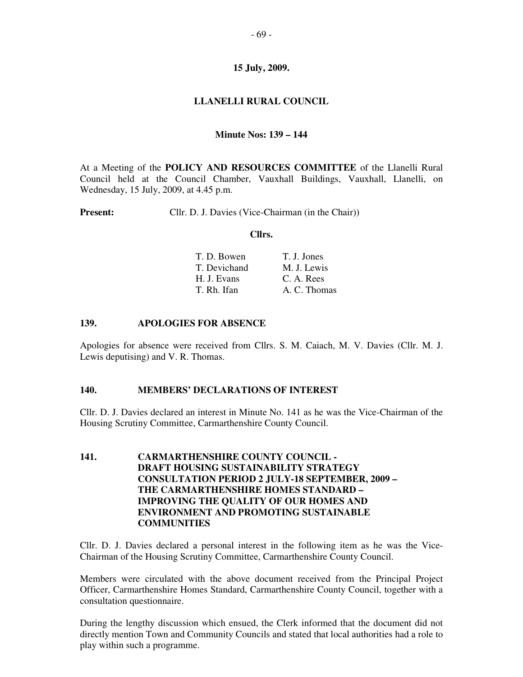# **15 July, 2009.**

# **LLANELLI RURAL COUNCIL**

### **Minute Nos: 139 – 144**

At a Meeting of the **POLICY AND RESOURCES COMMITTEE** of the Llanelli Rural Council held at the Council Chamber, Vauxhall Buildings, Vauxhall, Llanelli, on Wednesday, 15 July, 2009, at 4.45 p.m.

**Present:** Cllr. D. J. Davies (Vice-Chairman (in the Chair))

#### **Cllrs.**

| T. D. Bowen  | T. J. Jones  |
|--------------|--------------|
| T. Devichand | M. J. Lewis  |
| H. J. Evans  | C. A. Rees   |
| T. Rh. Ifan  | A. C. Thomas |

### **139. APOLOGIES FOR ABSENCE**

Apologies for absence were received from Cllrs. S. M. Caiach, M. V. Davies (Cllr. M. J. Lewis deputising) and V. R. Thomas.

#### **140. MEMBERS' DECLARATIONS OF INTEREST**

Cllr. D. J. Davies declared an interest in Minute No. 141 as he was the Vice-Chairman of the Housing Scrutiny Committee, Carmarthenshire County Council.

**141. CARMARTHENSHIRE COUNTY COUNCIL - DRAFT HOUSING SUSTAINABILITY STRATEGY CONSULTATION PERIOD 2 JULY-18 SEPTEMBER, 2009 – THE CARMARTHENSHIRE HOMES STANDARD – IMPROVING THE QUALITY OF OUR HOMES AND ENVIRONMENT AND PROMOTING SUSTAINABLE COMMUNITIES** 

Cllr. D. J. Davies declared a personal interest in the following item as he was the Vice-Chairman of the Housing Scrutiny Committee, Carmarthenshire County Council.

Members were circulated with the above document received from the Principal Project Officer, Carmarthenshire Homes Standard, Carmarthenshire County Council, together with a consultation questionnaire.

During the lengthy discussion which ensued, the Clerk informed that the document did not directly mention Town and Community Councils and stated that local authorities had a role to play within such a programme.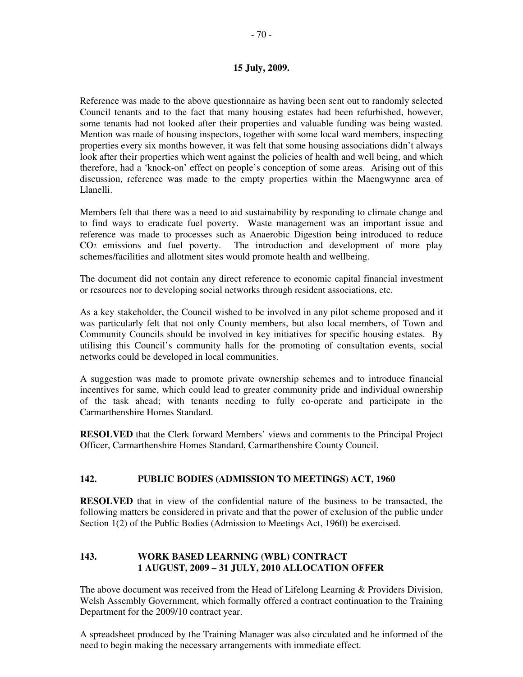Reference was made to the above questionnaire as having been sent out to randomly selected Council tenants and to the fact that many housing estates had been refurbished, however, some tenants had not looked after their properties and valuable funding was being wasted. Mention was made of housing inspectors, together with some local ward members, inspecting properties every six months however, it was felt that some housing associations didn't always look after their properties which went against the policies of health and well being, and which therefore, had a 'knock-on' effect on people's conception of some areas. Arising out of this discussion, reference was made to the empty properties within the Maengwynne area of Llanelli.

Members felt that there was a need to aid sustainability by responding to climate change and to find ways to eradicate fuel poverty. Waste management was an important issue and reference was made to processes such as Anaerobic Digestion being introduced to reduce CO2 emissions and fuel poverty. The introduction and development of more play schemes/facilities and allotment sites would promote health and wellbeing.

The document did not contain any direct reference to economic capital financial investment or resources nor to developing social networks through resident associations, etc.

As a key stakeholder, the Council wished to be involved in any pilot scheme proposed and it was particularly felt that not only County members, but also local members, of Town and Community Councils should be involved in key initiatives for specific housing estates. By utilising this Council's community halls for the promoting of consultation events, social networks could be developed in local communities.

A suggestion was made to promote private ownership schemes and to introduce financial incentives for same, which could lead to greater community pride and individual ownership of the task ahead; with tenants needing to fully co-operate and participate in the Carmarthenshire Homes Standard.

**RESOLVED** that the Clerk forward Members' views and comments to the Principal Project Officer, Carmarthenshire Homes Standard, Carmarthenshire County Council.

# **142. PUBLIC BODIES (ADMISSION TO MEETINGS) ACT, 1960**

**RESOLVED** that in view of the confidential nature of the business to be transacted, the following matters be considered in private and that the power of exclusion of the public under Section 1(2) of the Public Bodies (Admission to Meetings Act, 1960) be exercised.

# **143. WORK BASED LEARNING (WBL) CONTRACT 1 AUGUST, 2009 – 31 JULY, 2010 ALLOCATION OFFER**

The above document was received from the Head of Lifelong Learning & Providers Division, Welsh Assembly Government, which formally offered a contract continuation to the Training Department for the 2009/10 contract year.

A spreadsheet produced by the Training Manager was also circulated and he informed of the need to begin making the necessary arrangements with immediate effect.